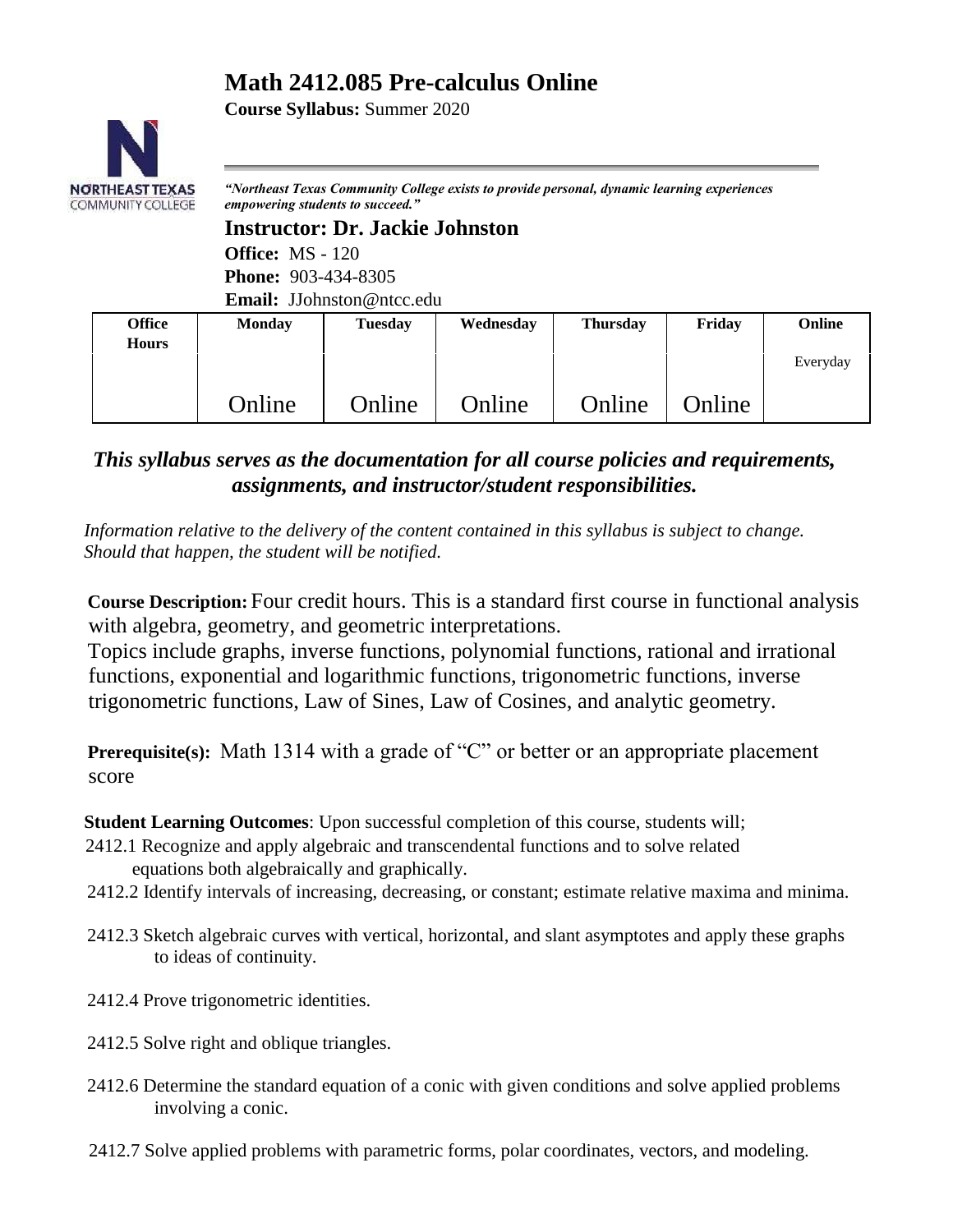# **Math 2412.085 Pre-calculus Online**

**Course Syllabus:** Summer 2020



*"Northeast Texas Community College exists to provide personal, dynamic learning experiences empowering students to succeed."*

**Instructor: Dr. Jackie Johnston Office:** MS - 120 **Phone:** 903-434-8305 **Email:** JJohnston@ntcc.edu

| <b>Office</b><br><b>Hours</b> | <b>Monday</b> | <b>Tuesday</b> | Wednesday | <b>Thursday</b> | Friday        | Online   |
|-------------------------------|---------------|----------------|-----------|-----------------|---------------|----------|
|                               |               |                |           |                 |               | Everyday |
|                               | Online        | Online         | Online    | Online          | <b>Online</b> |          |

*This syllabus serves as the documentation for all course policies and requirements, assignments, and instructor/student responsibilities.* 

*Information relative to the delivery of the content contained in this syllabus is subject to change. Should that happen, the student will be notified.*

**Course Description:** Four credit hours. This is a standard first course in functional analysis with algebra, geometry, and geometric interpretations.

Topics include graphs, inverse functions, polynomial functions, rational and irrational functions, exponential and logarithmic functions, trigonometric functions, inverse trigonometric functions, Law of Sines, Law of Cosines, and analytic geometry.

**Prerequisite(s):** Math 1314 with a grade of "C" or better or an appropriate placement score

**Student Learning Outcomes**: Upon successful completion of this course, students will;

- 2412.1 Recognize and apply algebraic and transcendental functions and to solve related equations both algebraically and graphically.
- 2412.2 Identify intervals of increasing, decreasing, or constant; estimate relative maxima and minima.
- 2412.3 Sketch algebraic curves with vertical, horizontal, and slant asymptotes and apply these graphs to ideas of continuity.
- 2412.4 Prove trigonometric identities.
- 2412.5 Solve right and oblique triangles.
- 2412.6 Determine the standard equation of a conic with given conditions and solve applied problems involving a conic.
- 2412.7 Solve applied problems with parametric forms, polar coordinates, vectors, and modeling.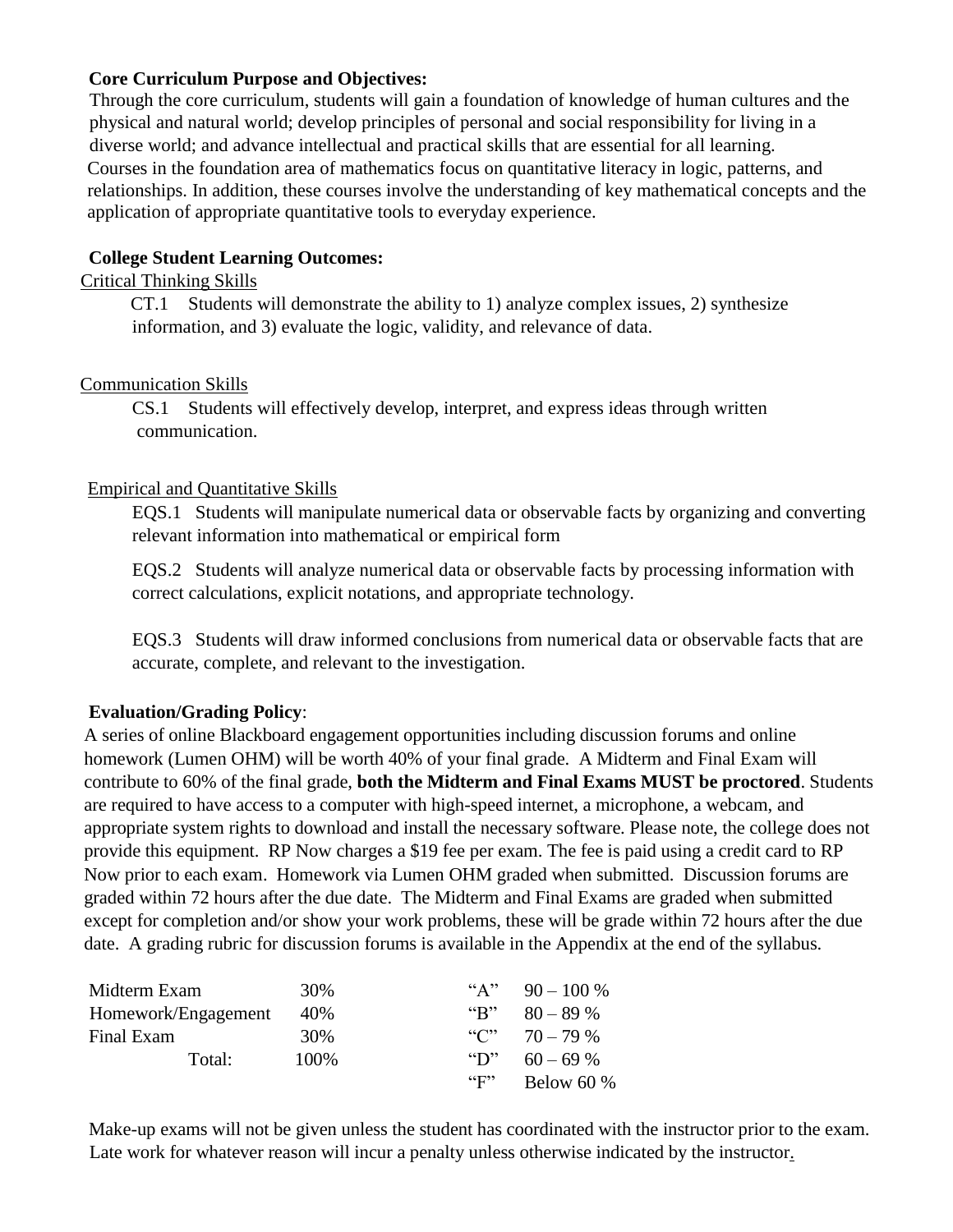#### **Core Curriculum Purpose and Objectives:**

Through the core curriculum, students will gain a foundation of knowledge of human cultures and the physical and natural world; develop principles of personal and social responsibility for living in a diverse world; and advance intellectual and practical skills that are essential for all learning. Courses in the foundation area of mathematics focus on quantitative literacy in logic, patterns, and relationships. In addition, these courses involve the understanding of key mathematical concepts and the application of appropriate quantitative tools to everyday experience.

#### **College Student Learning Outcomes:**

#### Critical Thinking Skills

 CT.1 Students will demonstrate the ability to 1) analyze complex issues, 2) synthesize information, and 3) evaluate the logic, validity, and relevance of data.

#### Communication Skills

CS.1 Students will effectively develop, interpret, and express ideas through written communication.

#### Empirical and Quantitative Skills

EQS.1Students will manipulate numerical data or observable facts by organizing and converting relevant information into mathematical or empirical form

EQS.2Students will analyze numerical data or observable facts by processing information with correct calculations, explicit notations, and appropriate technology.

EQS.3Students will draw informed conclusions from numerical data or observable facts that are accurate, complete, and relevant to the investigation.

#### **Evaluation/Grading Policy**:

A series of online Blackboard engagement opportunities including discussion forums and online homework (Lumen OHM) will be worth 40% of your final grade. A Midterm and Final Exam will contribute to 60% of the final grade, **both the Midterm and Final Exams MUST be proctored**. Students are required to have access to a computer with high-speed internet, a microphone, a webcam, and appropriate system rights to download and install the necessary software. Please note, the college does not provide this equipment. RP Now charges a \$19 fee per exam. The fee is paid using a credit card to RP Now prior to each exam. Homework via Lumen OHM graded when submitted. Discussion forums are graded within 72 hours after the due date. The Midterm and Final Exams are graded when submitted except for completion and/or show your work problems, these will be grade within 72 hours after the due date. A grading rubric for discussion forums is available in the Appendix at the end of the syllabus.

| Midterm Exam        | 30%  |                                   | "A" $90-100\%$  |
|---------------------|------|-----------------------------------|-----------------|
| Homework/Engagement | 40%  | ${}^{\epsilon}$ $R$ <sup>22</sup> | $80 - 89\%$     |
| Final Exam          | 30%  |                                   | "C" $70 - 79$ % |
| Total:              | 100% | $\mathcal{L}$                     | $60 - 69\%$     |
|                     |      | $\mathbf{``F''}$                  | Below 60 $%$    |

Make-up exams will not be given unless the student has coordinated with the instructor prior to the exam. Late work for whatever reason will incur a penalty unless otherwise indicated by the instructor.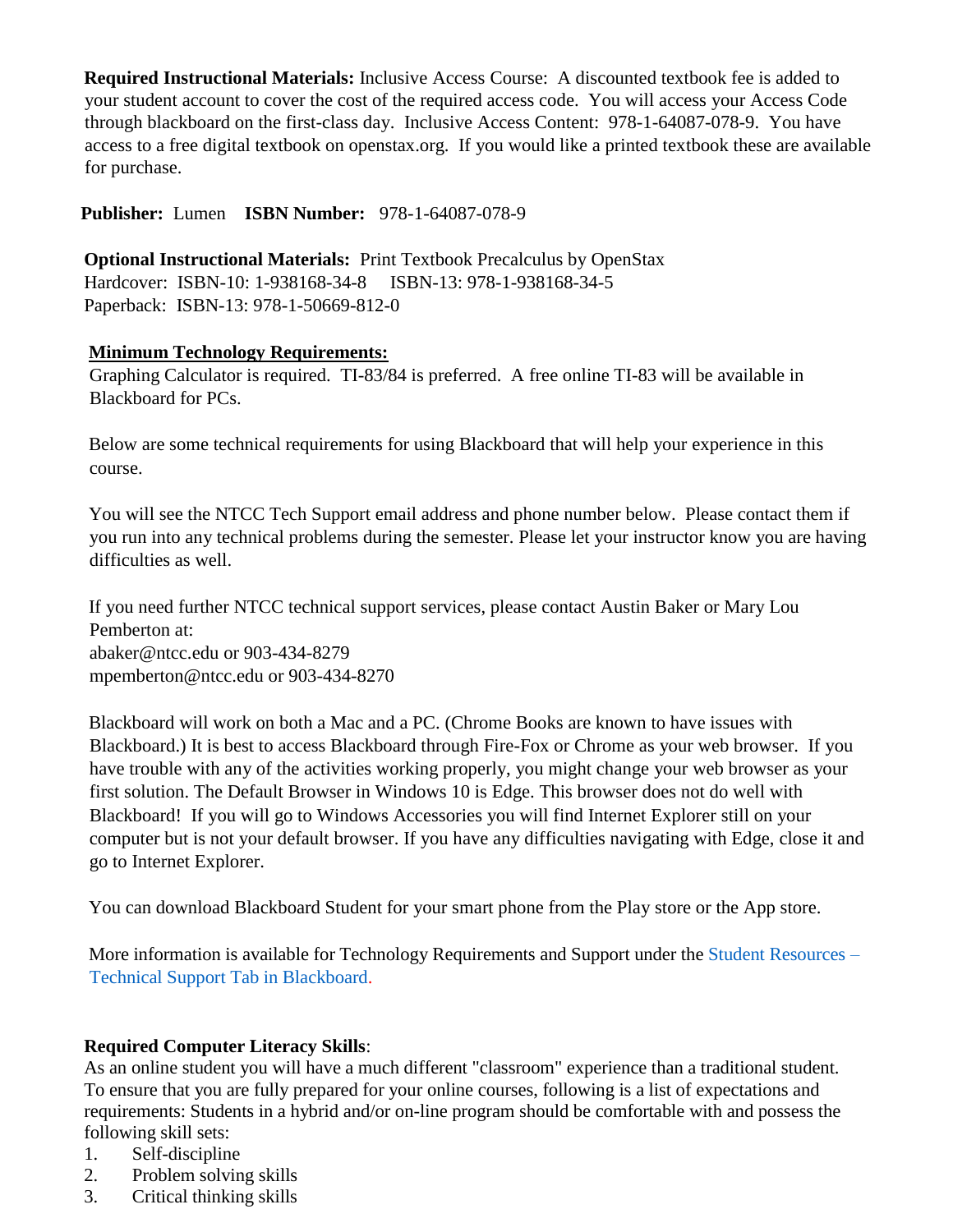**Required Instructional Materials:** Inclusive Access Course: A discounted textbook fee is added to your student account to cover the cost of the required access code. You will access your Access Code through blackboard on the first-class day. Inclusive Access Content: 978-1-64087-078-9. You have access to a free digital textbook on openstax.org. If you would like a printed textbook these are available for purchase.

**Publisher:** Lumen **ISBN Number:** 978-1-64087-078-9

**Optional Instructional Materials:** Print Textbook Precalculus by OpenStax Hardcover: ISBN-10: 1-938168-34-8 ISBN-13: 978-1-938168-34-5 Paperback: ISBN-13: 978-1-50669-812-0

## **Minimum Technology Requirements:**

Graphing Calculator is required. TI-83/84 is preferred. A free online TI-83 will be available in Blackboard for PCs.

Below are some technical requirements for using Blackboard that will help your experience in this course.

You will see the NTCC Tech Support email address and phone number below. Please contact them if you run into any technical problems during the semester. Please let your instructor know you are having difficulties as well.

If you need further NTCC technical support services, please contact Austin Baker or Mary Lou Pemberton at: abaker@ntcc.edu or 903-434-8279 mpemberton@ntcc.edu or 903-434-8270

Blackboard will work on both a Mac and a PC. (Chrome Books are known to have issues with Blackboard.) It is best to access Blackboard through Fire-Fox or Chrome as your web browser. If you have trouble with any of the activities working properly, you might change your web browser as your first solution. The Default Browser in Windows 10 is Edge. This browser does not do well with Blackboard! If you will go to Windows Accessories you will find Internet Explorer still on your computer but is not your default browser. If you have any difficulties navigating with Edge, close it and go to Internet Explorer.

You can download Blackboard Student for your smart phone from the Play store or the App store.

More information is available for Technology Requirements and Support under the [Student Resources –](https://blackboard.ntcc.edu/webapps/portal/execute/tabs/tabAction?tabId=_14_1&tab_tab_group_id=_15_1) [Technical Support Tab in Blackboard.](https://blackboard.ntcc.edu/webapps/portal/execute/tabs/tabAction?tabId=_14_1&tab_tab_group_id=_15_1)

## **Required Computer Literacy Skills**:

As an online student you will have a much different "classroom" experience than a traditional student. To ensure that you are fully prepared for your online courses, following is a list of expectations and requirements: Students in a hybrid and/or on-line program should be comfortable with and possess the following skill sets:

- 1. Self-discipline
- 2. Problem solving skills
- 3. Critical thinking skills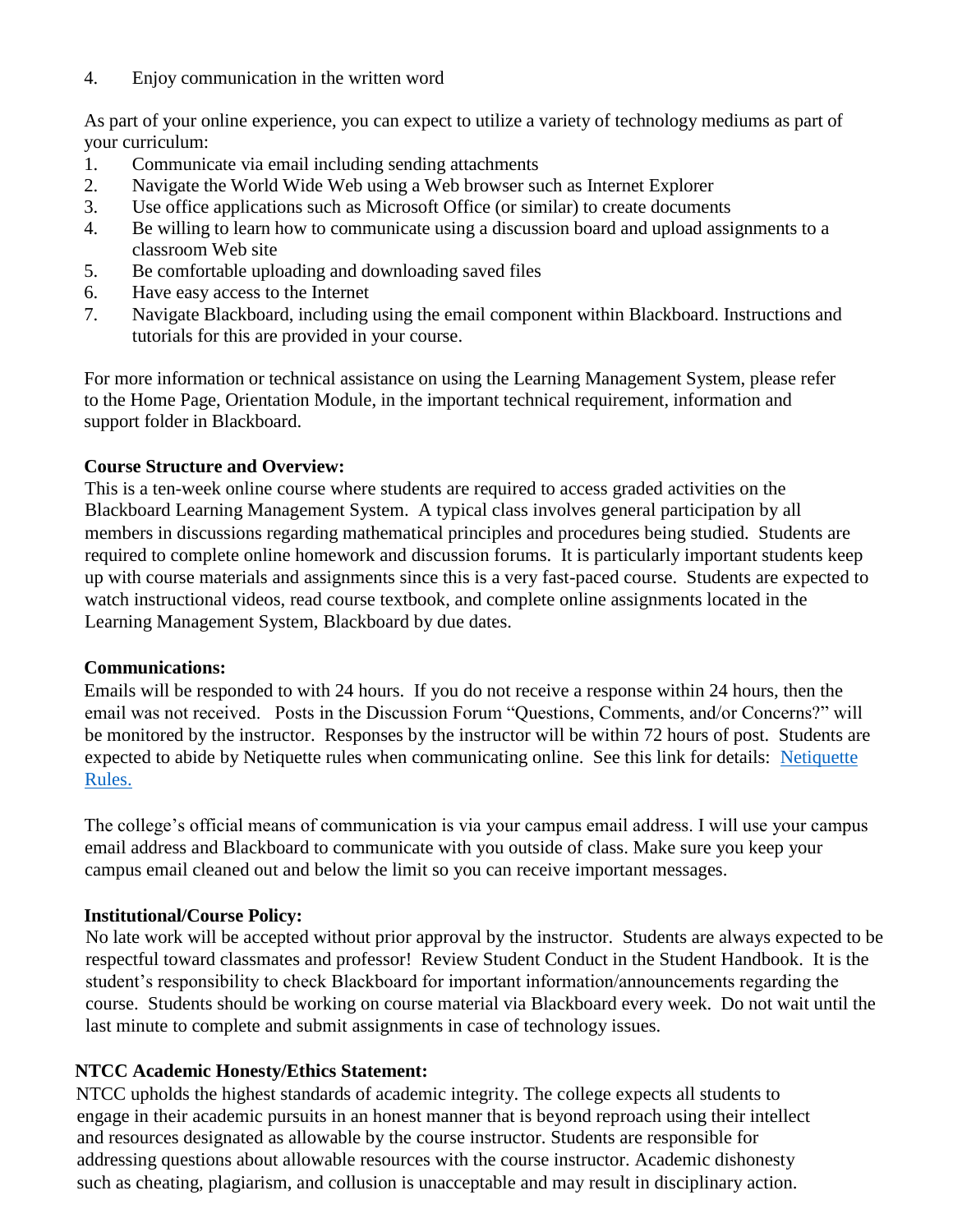4. Enjoy communication in the written word

As part of your online experience, you can expect to utilize a variety of technology mediums as part of your curriculum:

- 1. Communicate via email including sending attachments
- 2. Navigate the World Wide Web using a Web browser such as Internet Explorer
- 3. Use office applications such as Microsoft Office (or similar) to create documents
- 4. Be willing to learn how to communicate using a discussion board and upload assignments to a classroom Web site
- 5. Be comfortable uploading and downloading saved files
- 6. Have easy access to the Internet
- 7. Navigate Blackboard, including using the email component within Blackboard. Instructions and tutorials for this are provided in your course.

For more information or technical assistance on using the Learning Management System, please refer to the Home Page, Orientation Module, in the important technical requirement, information and support folder in Blackboard.

#### **Course Structure and Overview:**

This is a ten-week online course where students are required to access graded activities on the Blackboard Learning Management System. A typical class involves general participation by all members in discussions regarding mathematical principles and procedures being studied. Students are required to complete online homework and discussion forums. It is particularly important students keep up with course materials and assignments since this is a very fast-paced course. Students are expected to watch instructional videos, read course textbook, and complete online assignments located in the Learning Management System, Blackboard by due dates.

#### **Communications:**

Emails will be responded to with 24 hours. If you do not receive a response within 24 hours, then the email was not received. Posts in the Discussion Forum "Questions, Comments, and/or Concerns?" will be monitored by the instructor. Responses by the instructor will be within 72 hours of post. Students are expected to abide by Netiquette rules when communicating online. See this link for details: [Netiquette](https://netxcc-my.sharepoint.com/personal/jjohnston_ntcc_edu/Documents/NTCC/Quality%20Matters%20Info/Math1324/Netiquette.docx)  [Rules.](https://netxcc-my.sharepoint.com/personal/jjohnston_ntcc_edu/Documents/NTCC/Quality%20Matters%20Info/Math1324/Netiquette.docx)

The college's official means of communication is via your campus email address. I will use your campus email address and Blackboard to communicate with you outside of class. Make sure you keep your campus email cleaned out and below the limit so you can receive important messages.

## **Institutional/Course Policy:**

 No late work will be accepted without prior approval by the instructor. Students are always expected to be respectful toward classmates and professor! Review Student Conduct in the Student Handbook. It is the student's responsibility to check Blackboard for important information/announcements regarding the course. Students should be working on course material via Blackboard every week. Do not wait until the last minute to complete and submit assignments in case of technology issues.

## **NTCC Academic Honesty/Ethics Statement:**

NTCC upholds the highest standards of academic integrity. The college expects all students to engage in their academic pursuits in an honest manner that is beyond reproach using their intellect and resources designated as allowable by the course instructor. Students are responsible for addressing questions about allowable resources with the course instructor. Academic dishonesty such as cheating, plagiarism, and collusion is unacceptable and may result in disciplinary action.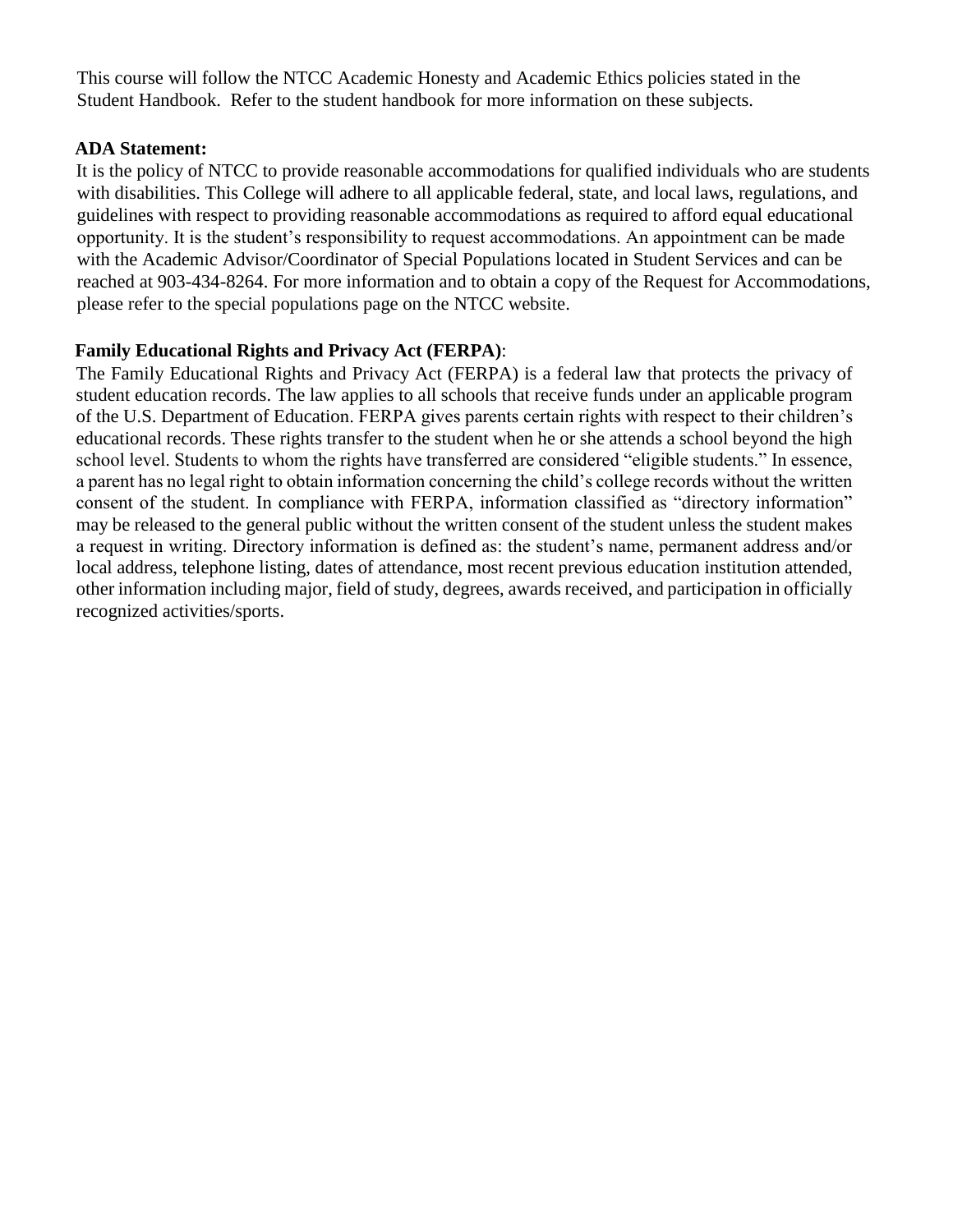This course will follow the NTCC Academic Honesty and Academic Ethics policies stated in the Student Handbook. Refer to the student handbook for more information on these subjects.

#### **ADA Statement:**

It is the policy of NTCC to provide reasonable accommodations for qualified individuals who are students with disabilities. This College will adhere to all applicable federal, state, and local laws, regulations, and guidelines with respect to providing reasonable accommodations as required to afford equal educational opportunity. It is the student's responsibility to request accommodations. An appointment can be made with the Academic Advisor/Coordinator of Special Populations located in Student Services and can be reached at 903-434-8264. For more information and to obtain a copy of the Request for Accommodations, please refer to the special populations page on the NTCC websit[e.](http://www.ntcc.edu/index.php?module=Pagesetter&func=viewpub&tid=111&pid=1)

#### **Family Educational Rights and Privacy Act (FERPA)**:

The Family Educational Rights and Privacy Act (FERPA) is a federal law that protects the privacy of student education records. The law applies to all schools that receive funds under an applicable program of the U.S. Department of Education. FERPA gives parents certain rights with respect to their children's educational records. These rights transfer to the student when he or she attends a school beyond the high school level. Students to whom the rights have transferred are considered "eligible students." In essence, a parent has no legal right to obtain information concerning the child's college records without the written consent of the student. In compliance with FERPA, information classified as "directory information" may be released to the general public without the written consent of the student unless the student makes a request in writing. Directory information is defined as: the student's name, permanent address and/or local address, telephone listing, dates of attendance, most recent previous education institution attended, other information including major, field of study, degrees, awards received, and participation in officially recognized activities/sports.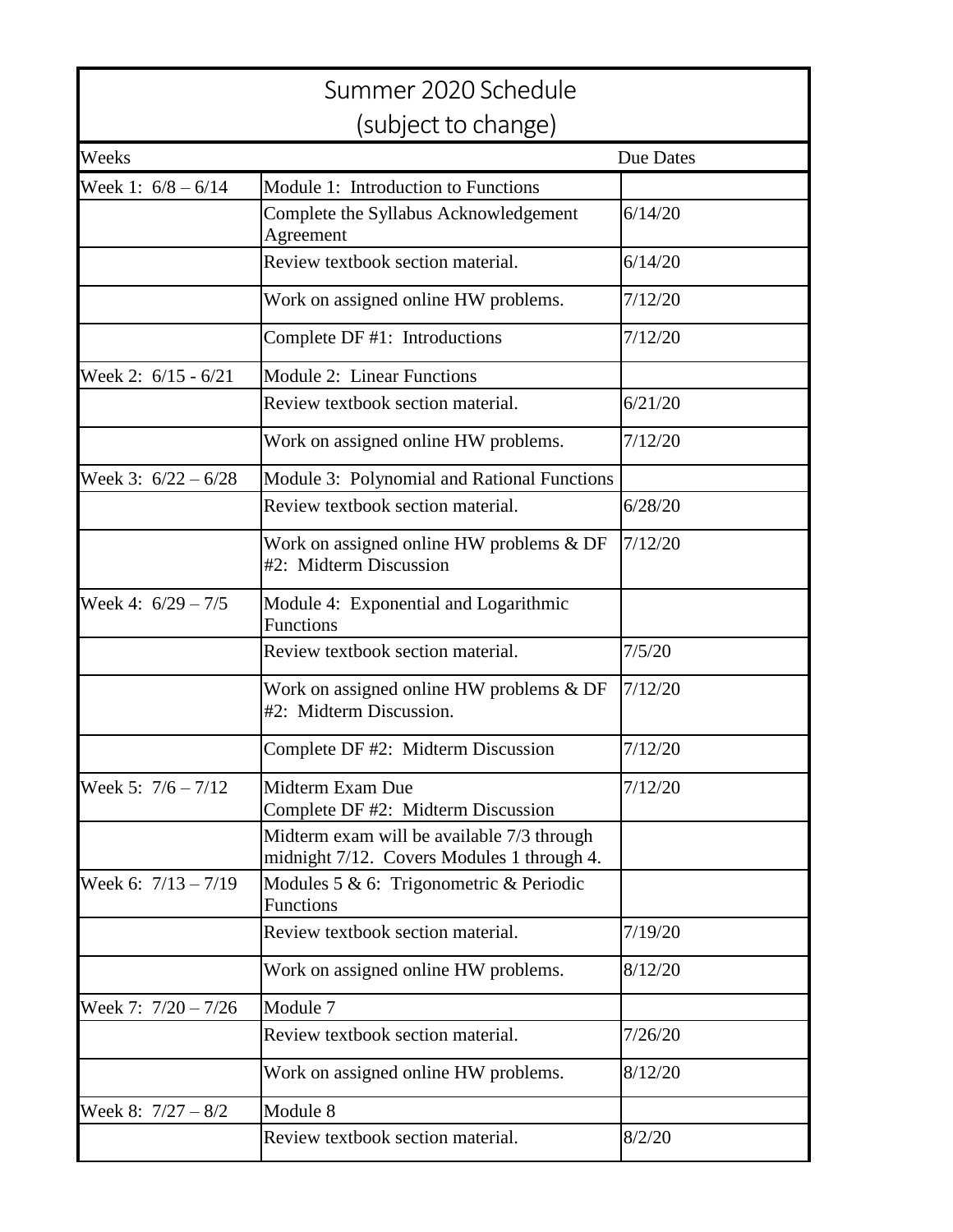|                       | Summer 2020 Schedule                                                                     |                  |  |  |  |
|-----------------------|------------------------------------------------------------------------------------------|------------------|--|--|--|
| (subject to change)   |                                                                                          |                  |  |  |  |
| Weeks                 |                                                                                          | <b>Due Dates</b> |  |  |  |
| Week 1: $6/8 - 6/14$  | Module 1: Introduction to Functions                                                      |                  |  |  |  |
|                       | Complete the Syllabus Acknowledgement<br>Agreement                                       | 6/14/20          |  |  |  |
|                       | Review textbook section material.                                                        | 6/14/20          |  |  |  |
|                       | Work on assigned online HW problems.                                                     | 7/12/20          |  |  |  |
|                       | Complete DF #1: Introductions                                                            | 7/12/20          |  |  |  |
| Week 2: 6/15 - 6/21   | Module 2: Linear Functions                                                               |                  |  |  |  |
|                       | Review textbook section material.                                                        | 6/21/20          |  |  |  |
|                       | Work on assigned online HW problems.                                                     | 7/12/20          |  |  |  |
| Week 3: $6/22 - 6/28$ | Module 3: Polynomial and Rational Functions                                              |                  |  |  |  |
|                       | Review textbook section material.                                                        | 6/28/20          |  |  |  |
|                       | Work on assigned online HW problems & DF<br>#2: Midterm Discussion                       | 7/12/20          |  |  |  |
| Week 4: $6/29 - 7/5$  | Module 4: Exponential and Logarithmic<br>Functions                                       |                  |  |  |  |
|                       | Review textbook section material.                                                        | 7/5/20           |  |  |  |
|                       | Work on assigned online HW problems $&DF$<br>#2: Midterm Discussion.                     | 7/12/20          |  |  |  |
|                       | Complete DF #2: Midterm Discussion                                                       | 7/12/20          |  |  |  |
| Week 5: $7/6 - 7/12$  | Midterm Exam Due<br>Complete DF #2: Midterm Discussion                                   | 7/12/20          |  |  |  |
|                       | Midterm exam will be available 7/3 through<br>midnight 7/12. Covers Modules 1 through 4. |                  |  |  |  |
| Week 6: $7/13 - 7/19$ | Modules 5 & 6: Trigonometric & Periodic<br>Functions                                     |                  |  |  |  |
|                       | Review textbook section material.                                                        | 7/19/20          |  |  |  |
|                       | Work on assigned online HW problems.                                                     | 8/12/20          |  |  |  |
| Week 7: $7/20 - 7/26$ | Module 7                                                                                 |                  |  |  |  |
|                       | Review textbook section material.                                                        | 7/26/20          |  |  |  |
|                       | Work on assigned online HW problems.                                                     | 8/12/20          |  |  |  |
| Week 8: $7/27 - 8/2$  | Module 8                                                                                 |                  |  |  |  |
|                       | Review textbook section material.                                                        | 8/2/20           |  |  |  |